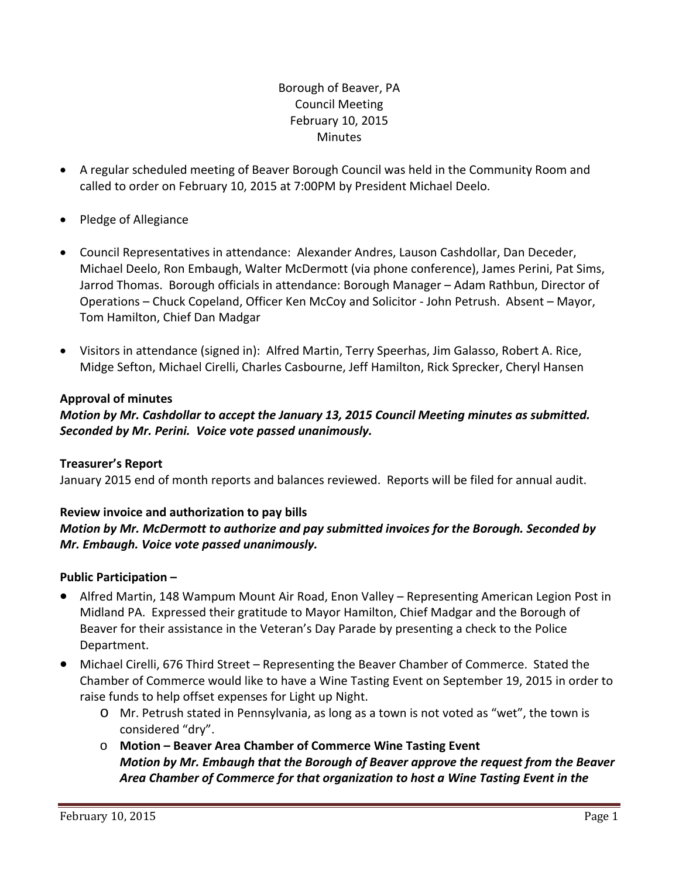# Borough of Beaver, PA Council Meeting February 10, 2015 **Minutes**

- A regular scheduled meeting of Beaver Borough Council was held in the Community Room and called to order on February 10, 2015 at 7:00PM by President Michael Deelo.
- Pledge of Allegiance
- Council Representatives in attendance: Alexander Andres, Lauson Cashdollar, Dan Deceder, Michael Deelo, Ron Embaugh, Walter McDermott (via phone conference), James Perini, Pat Sims, Jarrod Thomas. Borough officials in attendance: Borough Manager – Adam Rathbun, Director of Operations – Chuck Copeland, Officer Ken McCoy and Solicitor ‐ John Petrush. Absent – Mayor, Tom Hamilton, Chief Dan Madgar
- Visitors in attendance (signed in): Alfred Martin, Terry Speerhas, Jim Galasso, Robert A. Rice, Midge Sefton, Michael Cirelli, Charles Casbourne, Jeff Hamilton, Rick Sprecker, Cheryl Hansen

# **Approval of minutes**

*Motion by Mr. Cashdollar to accept the January 13, 2015 Council Meeting minutes as submitted. Seconded by Mr. Perini. Voice vote passed unanimously.* 

#### **Treasurer's Report**

January 2015 end of month reports and balances reviewed. Reports will be filed for annual audit.

# **Review invoice and authorization to pay bills**

# *Motion by Mr. McDermott to authorize and pay submitted invoices for the Borough. Seconded by Mr. Embaugh. Voice vote passed unanimously.*

# **Public Participation –**

- Alfred Martin, 148 Wampum Mount Air Road, Enon Valley Representing American Legion Post in Midland PA. Expressed their gratitude to Mayor Hamilton, Chief Madgar and the Borough of Beaver for their assistance in the Veteran's Day Parade by presenting a check to the Police Department.
- Michael Cirelli, 676 Third Street Representing the Beaver Chamber of Commerce. Stated the Chamber of Commerce would like to have a Wine Tasting Event on September 19, 2015 in order to raise funds to help offset expenses for Light up Night.
	- o Mr. Petrush stated in Pennsylvania, as long as a town is not voted as "wet", the town is considered "dry".
	- o **Motion – Beaver Area Chamber of Commerce Wine Tasting Event** *Motion by Mr. Embaugh that the Borough of Beaver approve the request from the Beaver Area Chamber of Commerce for that organization to host a Wine Tasting Event in the*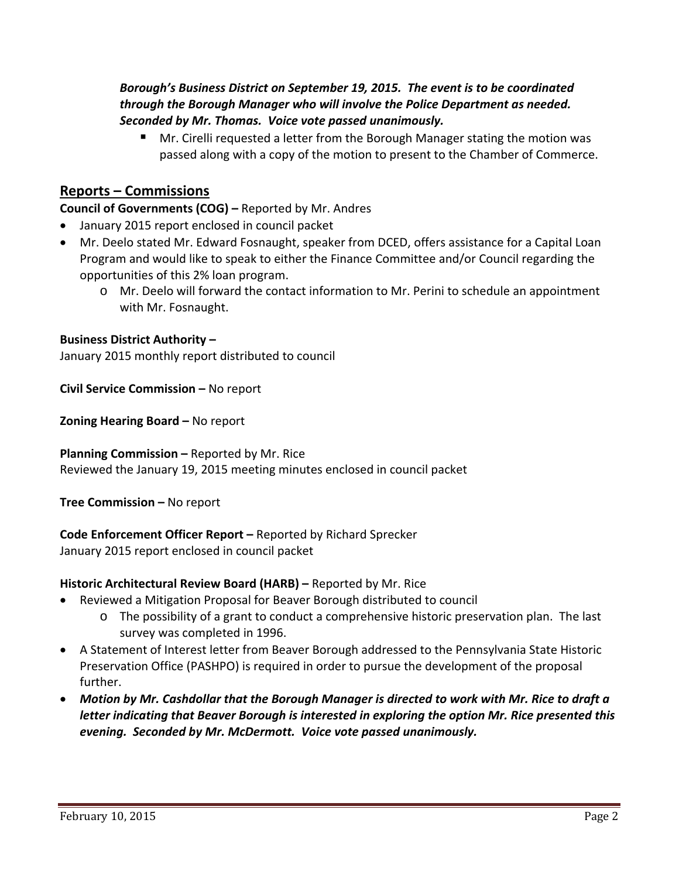# *Borough's Business District on September 19, 2015. The event is to be coordinated through the Borough Manager who will involve the Police Department as needed. Seconded by Mr. Thomas. Voice vote passed unanimously.*

 Mr. Cirelli requested a letter from the Borough Manager stating the motion was passed along with a copy of the motion to present to the Chamber of Commerce.

# **Reports – Commissions**

### **Council of Governments (COG) –** Reported by Mr. Andres

- January 2015 report enclosed in council packet
- Mr. Deelo stated Mr. Edward Fosnaught, speaker from DCED, offers assistance for a Capital Loan Program and would like to speak to either the Finance Committee and/or Council regarding the opportunities of this 2% loan program.
	- o Mr. Deelo will forward the contact information to Mr. Perini to schedule an appointment with Mr. Fosnaught.

### **Business District Authority –**

January 2015 monthly report distributed to council

**Civil Service Commission –** No report

**Zoning Hearing Board –** No report

**Planning Commission –** Reported by Mr. Rice Reviewed the January 19, 2015 meeting minutes enclosed in council packet

**Tree Commission –** No report

**Code Enforcement Officer Report –** Reported by Richard Sprecker January 2015 report enclosed in council packet

#### **Historic Architectural Review Board (HARB) –** Reported by Mr. Rice

- Reviewed a Mitigation Proposal for Beaver Borough distributed to council
	- $\circ$  The possibility of a grant to conduct a comprehensive historic preservation plan. The last survey was completed in 1996.
- A Statement of Interest letter from Beaver Borough addressed to the Pennsylvania State Historic Preservation Office (PASHPO) is required in order to pursue the development of the proposal further.
- *Motion by Mr. Cashdollar that the Borough Manager is directed to work with Mr. Rice to draft a letter indicating that Beaver Borough is interested in exploring the option Mr. Rice presented this evening. Seconded by Mr. McDermott. Voice vote passed unanimously.*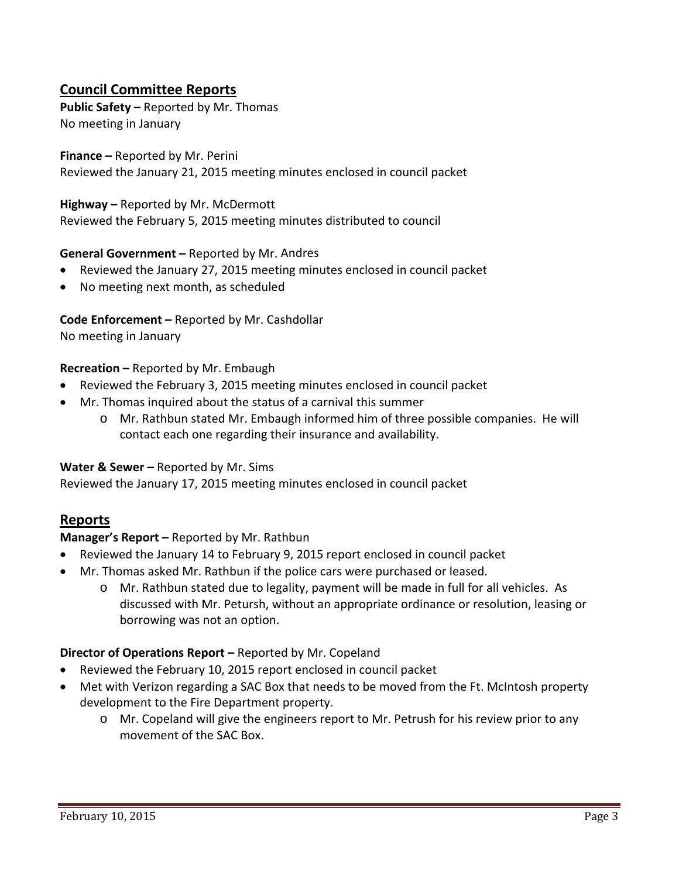# **Council Committee Reports**

**Public Safety –** Reported by Mr. Thomas No meeting in January

**Finance –** Reported by Mr. Perini Reviewed the January 21, 2015 meeting minutes enclosed in council packet

**Highway –** Reported by Mr. McDermott Reviewed the February 5, 2015 meeting minutes distributed to council

### **General Government –** Reported by Mr. Andres

- Reviewed the January 27, 2015 meeting minutes enclosed in council packet
- No meeting next month, as scheduled

**Code Enforcement –** Reported by Mr. Cashdollar No meeting in January

#### **Recreation –** Reported by Mr. Embaugh

- Reviewed the February 3, 2015 meeting minutes enclosed in council packet
- Mr. Thomas inquired about the status of a carnival this summer
	- o Mr. Rathbun stated Mr. Embaugh informed him of three possible companies. He will contact each one regarding their insurance and availability.

#### **Water & Sewer –** Reported by Mr. Sims

Reviewed the January 17, 2015 meeting minutes enclosed in council packet

# **Reports**

#### **Manager's Report –** Reported by Mr. Rathbun

- Reviewed the January 14 to February 9, 2015 report enclosed in council packet
- Mr. Thomas asked Mr. Rathbun if the police cars were purchased or leased.
	- o Mr. Rathbun stated due to legality, payment will be made in full for all vehicles. As discussed with Mr. Petursh, without an appropriate ordinance or resolution, leasing or borrowing was not an option.

#### **Director of Operations Report –** Reported by Mr. Copeland

- Reviewed the February 10, 2015 report enclosed in council packet
- Met with Verizon regarding a SAC Box that needs to be moved from the Ft. McIntosh property development to the Fire Department property.
	- o Mr. Copeland will give the engineers report to Mr. Petrush for his review prior to any movement of the SAC Box.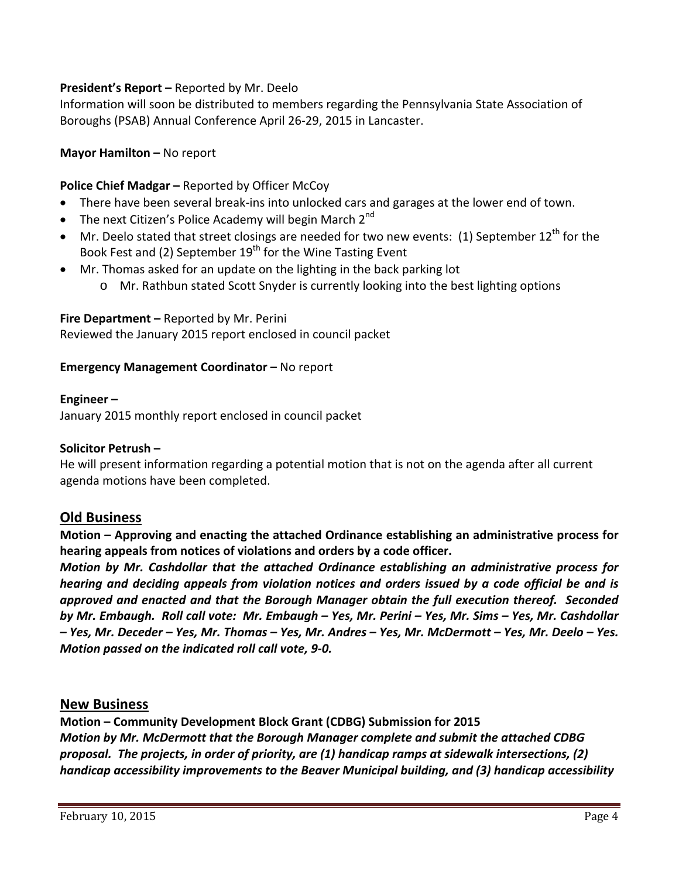# **President's Report –** Reported by Mr. Deelo

Information will soon be distributed to members regarding the Pennsylvania State Association of Boroughs (PSAB) Annual Conference April 26‐29, 2015 in Lancaster.

# **Mayor Hamilton –** No report

# **Police Chief Madgar –** Reported by Officer McCoy

- There have been several break‐ins into unlocked cars and garages at the lower end of town.
- The next Citizen's Police Academy will begin March  $2^{nd}$
- $\bullet$  Mr. Deelo stated that street closings are needed for two new events: (1) September 12<sup>th</sup> for the Book Fest and (2) September  $19<sup>th</sup>$  for the Wine Tasting Event
- Mr. Thomas asked for an update on the lighting in the back parking lot
	- o Mr. Rathbun stated Scott Snyder is currently looking into the best lighting options

### **Fire Department –** Reported by Mr. Perini

Reviewed the January 2015 report enclosed in council packet

### **Emergency Management Coordinator –** No report

### **Engineer –**

January 2015 monthly report enclosed in council packet

# **Solicitor Petrush –**

He will present information regarding a potential motion that is not on the agenda after all current agenda motions have been completed.

# **Old Business**

**Motion – Approving and enacting the attached Ordinance establishing an administrative process for hearing appeals from notices of violations and orders by a code officer.**

*Motion by Mr. Cashdollar that the attached Ordinance establishing an administrative process for hearing and deciding appeals from violation notices and orders issued by a code official be and is approved and enacted and that the Borough Manager obtain the full execution thereof. Seconded* by Mr. Embaugh. Roll call vote: Mr. Embaugh - Yes, Mr. Perini - Yes, Mr. Sims - Yes, Mr. Cashdollar – Yes, Mr. Deceder – Yes, Mr. Thomas – Yes, Mr. Andres – Yes, Mr. McDermott – Yes, Mr. Deelo – Yes. *Motion passed on the indicated roll call vote, 9‐0.* 

# **New Business**

**Motion – Community Development Block Grant (CDBG) Submission for 2015** *Motion by Mr. McDermott that the Borough Manager complete and submit the attached CDBG proposal. The projects, in order of priority, are (1) handicap ramps at sidewalk intersections, (2) handicap accessibility improvements to the Beaver Municipal building, and (3) handicap accessibility*